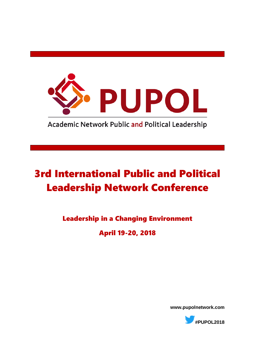

**Academic Network Public and Political Leadership** 

## [3rd International Public and Political](https://www.fhs.se/en/research/research-centres-and-programmes/crismart/research/pupol/#content)  [Leadership Network Conference](https://www.fhs.se/en/research/research-centres-and-programmes/crismart/research/pupol/#content)

Leadership in a Changing Environment

April 19-20, 2018

**www.pupolnetwork.com**

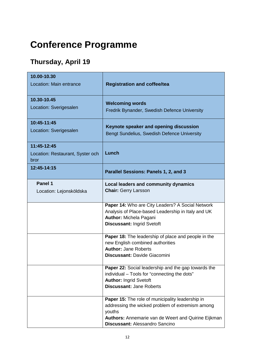## **Conference Programme**

## **Thursday, April 19**

| 10.00-10.30<br>Location: Main entrance                  | <b>Registration and coffee/tea</b>                                                                                                                                                                             |
|---------------------------------------------------------|----------------------------------------------------------------------------------------------------------------------------------------------------------------------------------------------------------------|
| 10.30-10.45<br>Location: Sverigesalen                   | <b>Welcoming words</b><br>Fredrik Bynander, Swedish Defence University                                                                                                                                         |
| 10:45-11:45<br>Location: Sverigesalen                   | Keynote speaker and opening discussion<br>Bengt Sundelius, Swedish Defence University                                                                                                                          |
| 11:45-12:45<br>Location: Restaurant, Syster och<br>bror | Lunch                                                                                                                                                                                                          |
| 12:45-14:15                                             | Parallel Sessions: Panels 1, 2, and 3                                                                                                                                                                          |
| Panel 1<br>Location: Lejonsköldska                      | Local leaders and community dynamics<br><b>Chair: Gerry Larsson</b>                                                                                                                                            |
|                                                         | Paper 14: Who are City Leaders? A Social Network<br>Analysis of Place-based Leadership in Italy and UK<br><b>Author:</b> Michela Pagani<br><b>Discussant: Ingrid Svetoft</b>                                   |
|                                                         | <b>Paper 18:</b> The leadership of place and people in the<br>new English combined authorities<br><b>Author: Jane Roberts</b><br><b>Discussant: Davide Giacomini</b>                                           |
|                                                         | Paper 22: Social leadership and the gap towards the<br>individual – Tools for "connecting the dots"<br><b>Author: Ingrid Svetoft</b><br><b>Discussant: Jane Roberts</b>                                        |
|                                                         | Paper 15: The role of municipality leadership in<br>addressing the wicked problem of extremism among<br>youths<br>Authors: Annemarie van de Weert and Quirine Eijkman<br><b>Discussant: Alessandro Sancino</b> |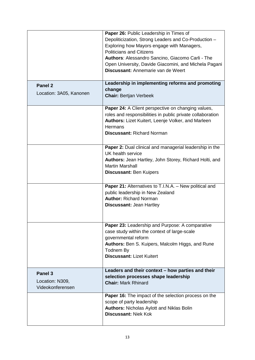|                                                | Paper 26: Public Leadership in Times of<br>Depoliticization, Strong Leaders and Co-Production -<br>Exploring how Mayors engage with Managers,<br><b>Politicians and Citizens</b><br>Authors: Alessandro Sancino, Giacomo Carli - The<br>Open University, Davide Giacomini, and Michela Pagani<br>Discussant: Annemarie van de Weert |
|------------------------------------------------|-------------------------------------------------------------------------------------------------------------------------------------------------------------------------------------------------------------------------------------------------------------------------------------------------------------------------------------|
|                                                | Leadership in implementing reforms and promoting                                                                                                                                                                                                                                                                                    |
| Panel 2<br>Location: 3A05, Kanonen             | change<br><b>Chair: Bertjan Verbeek</b>                                                                                                                                                                                                                                                                                             |
|                                                | Paper 24: A Client perspective on changing values,<br>roles and responsibilities in public private collaboration<br>Authors: Lizet Kuitert, Leenje Volker, and Marleen<br>Hermans<br><b>Discussant: Richard Norman</b>                                                                                                              |
|                                                | Paper 2: Dual clinical and managerial leadership in the<br>UK health service<br>Authors: Jean Hartley, John Storey, Richard Holti, and<br><b>Martin Marshall</b><br><b>Discussant: Ben Kuipers</b>                                                                                                                                  |
|                                                | Paper 21: Alternatives to T.I.N.A. - New political and<br>public leadership in New Zealand<br><b>Author: Richard Norman</b><br><b>Discussant: Jean Hartley</b>                                                                                                                                                                      |
|                                                | Paper 23: Leadership and Purpose: A comparative<br>case study within the context of large-scale<br>governmental reform<br>Authors: Ben S. Kuipers, Malcolm Higgs, and Rune<br>Todnem By<br><b>Discussant: Lizet Kuitert</b>                                                                                                         |
| Panel 3<br>Location: N309,<br>Videokonferensen | Leaders and their context - how parties and their<br>selection processes shape leadership<br><b>Chair: Mark Rhinard</b>                                                                                                                                                                                                             |
|                                                | <b>Paper 16:</b> The impact of the selection process on the<br>scope of party leadership<br><b>Authors: Nicholas Aylott and Niklas Bolin</b><br><b>Discussant: Niek Kok</b>                                                                                                                                                         |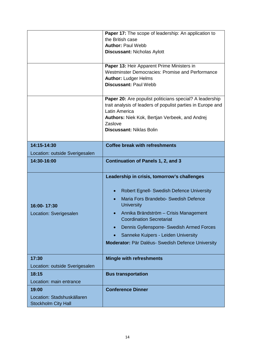|                                                          | Paper 17: The scope of leadership: An application to                                                                    |
|----------------------------------------------------------|-------------------------------------------------------------------------------------------------------------------------|
|                                                          | the British case                                                                                                        |
|                                                          | <b>Author: Paul Webb</b>                                                                                                |
|                                                          | <b>Discussant: Nicholas Aylott</b>                                                                                      |
|                                                          |                                                                                                                         |
|                                                          | Paper 13: Heir Apparent Prime Ministers in                                                                              |
|                                                          | Westminster Democracies: Promise and Performance                                                                        |
|                                                          | <b>Author: Ludger Helms</b>                                                                                             |
|                                                          | <b>Discussant: Paul Webb</b>                                                                                            |
|                                                          |                                                                                                                         |
|                                                          | Paper 20: Are populist politicians special? A leadership<br>trait analysis of leaders of populist parties in Europe and |
|                                                          | Latin America                                                                                                           |
|                                                          | Authors: Niek Kok, Bertjan Verbeek, and Andrej                                                                          |
|                                                          | Zaslove                                                                                                                 |
|                                                          | <b>Discussant: Niklas Bolin</b>                                                                                         |
|                                                          |                                                                                                                         |
| 14:15-14:30                                              | <b>Coffee break with refreshments</b>                                                                                   |
| Location: outside Sverigesalen                           |                                                                                                                         |
| 14:30-16:00                                              | <b>Continuation of Panels 1, 2, and 3</b>                                                                               |
|                                                          |                                                                                                                         |
|                                                          | Leadership in crisis, tomorrow's challenges                                                                             |
|                                                          |                                                                                                                         |
|                                                          | Robert Egnell- Swedish Defence University<br>$\bullet$                                                                  |
|                                                          | Maria Fors Brandebo- Swedish Defence<br>$\bullet$                                                                       |
| 16:00-17:30                                              | <b>University</b>                                                                                                       |
| Location: Sverigesalen                                   | Annika Brändström - Crisis Management<br>$\bullet$                                                                      |
|                                                          | <b>Coordination Secretariat</b>                                                                                         |
|                                                          | Dennis Gyllensporre- Swedish Armed Forces                                                                               |
|                                                          | Sanneke Kuipers - Leiden University                                                                                     |
|                                                          | Moderator: Pär Daléus- Swedish Defence University                                                                       |
|                                                          |                                                                                                                         |
| 17:30                                                    | <b>Mingle with refreshments</b>                                                                                         |
| Location: outside Sverigesalen                           |                                                                                                                         |
| 18:15                                                    | <b>Bus transportation</b>                                                                                               |
| Location: main entrance                                  |                                                                                                                         |
| 19:00                                                    | <b>Conference Dinner</b>                                                                                                |
| Location: Stadshuskällaren<br><b>Stockholm City Hall</b> |                                                                                                                         |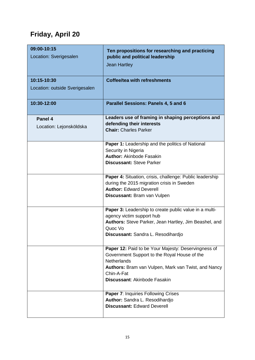## **Friday, April 20**

| 09:00-10:15<br>Location: Sverigesalen         | Ten propositions for researching and practicing<br>public and political leadership<br><b>Jean Hartley</b>                                                                                                                      |
|-----------------------------------------------|--------------------------------------------------------------------------------------------------------------------------------------------------------------------------------------------------------------------------------|
| 10:15-10:30<br>Location: outside Sverigesalen | <b>Coffee/tea with refreshments</b>                                                                                                                                                                                            |
| 10:30-12:00                                   | Parallel Sessions: Panels 4, 5 and 6                                                                                                                                                                                           |
| Panel 4<br>Location: Lejonsköldska            | Leaders use of framing in shaping perceptions and<br>defending their interests<br><b>Chair: Charles Parker</b>                                                                                                                 |
|                                               | Paper 1: Leadership and the politics of National<br>Security in Nigeria<br><b>Author: Akinbode Fasakin</b><br><b>Discussant: Steve Parker</b>                                                                                  |
|                                               | Paper 4: Situation, crisis, challenge: Public leadership<br>during the 2015 migration crisis in Sweden<br><b>Author: Edward Deverell</b><br>Discussant: Bram van Vulpen                                                        |
|                                               | Paper 3: Leadership to create public value in a multi-<br>agency victim support hub<br>Authors: Steve Parker, Jean Hartley, Jim Beashel, and<br>Quoc Vo<br>Discussant: Sandra L. Resodihardjo                                  |
|                                               | Paper 12: Paid to be Your Majesty: Deservingness of<br>Government Support to the Royal House of the<br><b>Netherlands</b><br>Authors: Bram van Vulpen, Mark van Twist, and Nancy<br>Chin-A-Fat<br>Discussant: Akinbode Fasakin |
|                                               | <b>Paper 7: Inquiries Following Crises</b><br>Author: Sandra L. Resodihardjo<br><b>Discussant: Edward Deverell</b>                                                                                                             |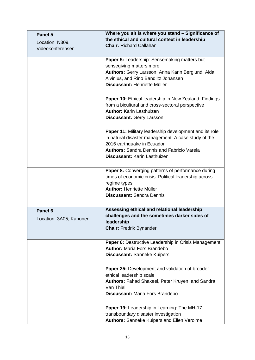| Panel 5                 | Where you sit is where you stand - Significance of                          |
|-------------------------|-----------------------------------------------------------------------------|
| Location: N309,         | the ethical and cultural context in leadership                              |
| Videokonferensen        | <b>Chair: Richard Callahan</b>                                              |
|                         |                                                                             |
|                         | Paper 5: Leadership: Sensemaking matters but                                |
|                         | sensegiving matters more                                                    |
|                         | Authors: Gerry Larsson, Anna Karin Berglund, Aida                           |
|                         | Alvinius, and Rino Bandlitz Johansen<br>Discussant: Henriette Müller        |
|                         |                                                                             |
|                         | Paper 10: Ethical leadership in New Zealand: Findings                       |
|                         | from a bicultural and cross-sectoral perspective                            |
|                         | <b>Author: Karin Lasthuizen</b>                                             |
|                         | <b>Discussant: Gerry Larsson</b>                                            |
|                         |                                                                             |
|                         | Paper 11: Military leadership development and its role                      |
|                         | in natural disaster management: A case study of the                         |
|                         | 2016 earthquake in Ecuador                                                  |
|                         | <b>Authors: Sandra Dennis and Fabricio Varela</b>                           |
|                         | Discussant: Karin Lasthuizen                                                |
|                         |                                                                             |
|                         | Paper 8: Converging patterns of performance during                          |
|                         | times of economic crisis. Political leadership across                       |
|                         | regime types                                                                |
|                         | <b>Author: Henriette Müller</b><br><b>Discussant: Sandra Dennis</b>         |
|                         |                                                                             |
| Panel <sub>6</sub>      | Assessing ethical and relational leadership                                 |
| Location: 3A05, Kanonen | challenges and the sometimes darker sides of                                |
|                         | leadership                                                                  |
|                         | <b>Chair: Fredrik Bynander</b>                                              |
|                         |                                                                             |
|                         | Paper 6: Destructive Leadership in Crisis Management                        |
|                         | <b>Author: Maria Fors Brandebo</b>                                          |
|                         | <b>Discussant: Sanneke Kuipers</b>                                          |
|                         |                                                                             |
|                         | Paper 25: Development and validation of broader<br>ethical leadership scale |
|                         | Authors: Fahad Shakeel, Peter Kruyen, and Sandra                            |
|                         | Van Thiel                                                                   |
|                         | <b>Discussant: Maria Fors Brandebo</b>                                      |
|                         |                                                                             |
|                         | Paper 19: Leadership in Learning: The MH-17                                 |
|                         | transboundary disaster investigation                                        |
|                         | Authors: Sanneke Kuipers and Ellen Verolme                                  |